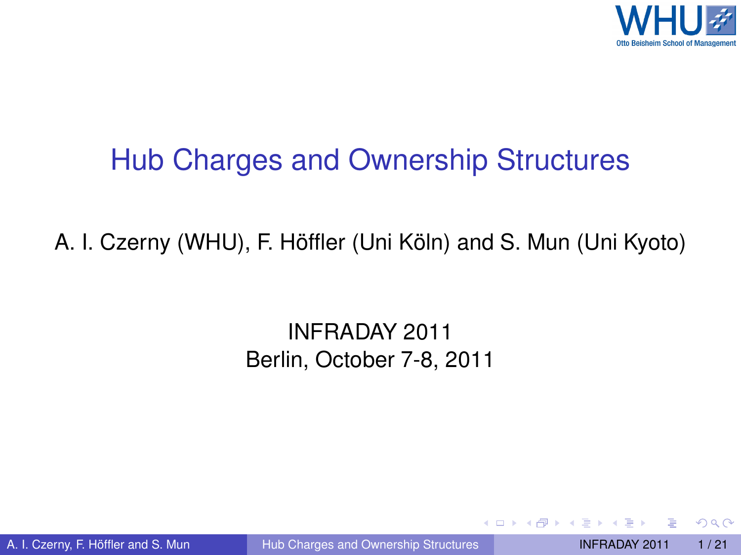

#### Hub Charges and Ownership Structures

#### A. I. Czerny (WHU), F. Höffler (Uni Köln) and S. Mun (Uni Kyoto)

#### INFRADAY 2011 Berlin, October 7-8, 2011

A. I. Czerny, F. Höffler and S. Mun (i) [Hub Charges and Ownership Structures](#page-20-0) INFRADAY 2011 1/21

<span id="page-0-0"></span>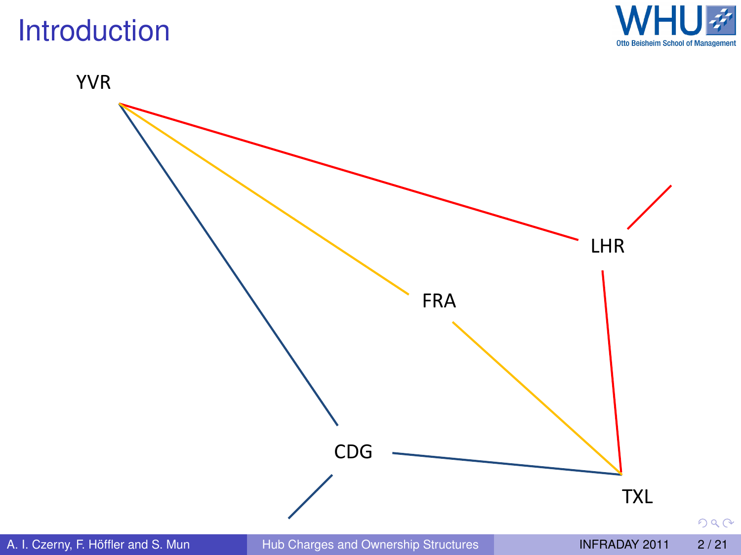#### Introduction



YVR



 $290$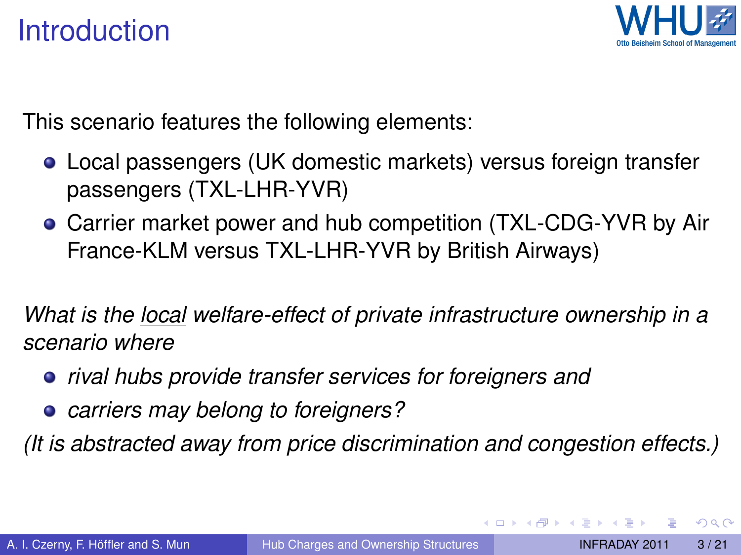#### Introduction



This scenario features the following elements:

- Local passengers (UK domestic markets) versus foreign transfer passengers (TXL-LHR-YVR)
- Carrier market power and hub competition (TXL-CDG-YVR by Air France-KLM versus TXL-LHR-YVR by British Airways)

*What is the local welfare-effect of private infrastructure ownership in a scenario where*

- *rival hubs provide transfer services for foreigners and*
- *carriers may belong to foreigners?*

*(It is abstracted away from price discrimination and congestion effects.)*

 $\Omega$ 

イロト イ押 トイラト イラト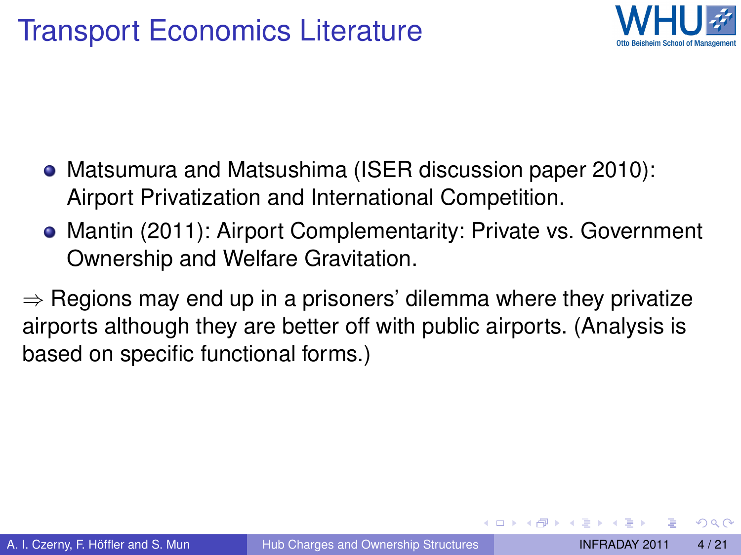

- Matsumura and Matsushima (ISER discussion paper 2010): Airport Privatization and International Competition.
- Mantin (2011): Airport Complementarity: Private vs. Government Ownership and Welfare Gravitation.

 $\Rightarrow$  Regions may end up in a prisoners' dilemma where they privatize airports although they are better off with public airports. (Analysis is based on specific functional forms.)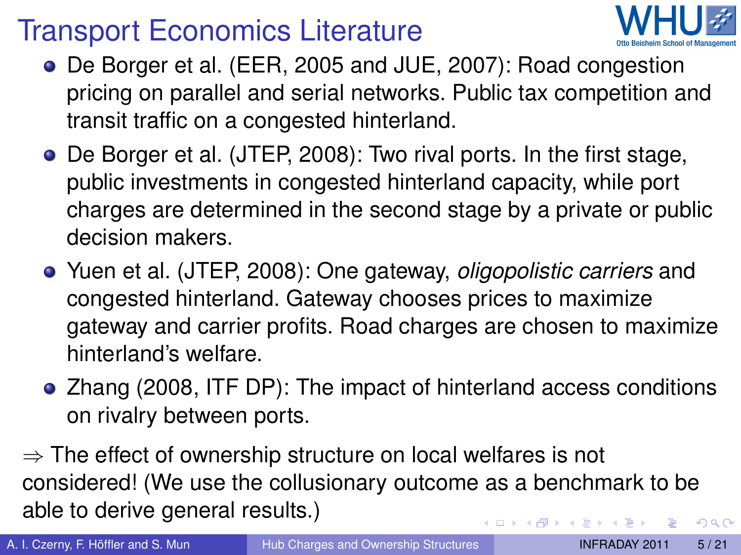### Transport Economics Literature



- De Borger et al. (EER, 2005 and JUE, 2007): Road congestion pricing on parallel and serial networks. Public tax competition and transit traffic on a congested hinterland.
- De Borger et al. (JTEP, 2008): Two rival ports. In the first stage, public investments in congested hinterland capacity, while port charges are determined in the second stage by a private or public decision makers.
- Yuen et al. (JTEP, 2008): One gateway, *oligopolistic carriers* and congested hinterland. Gateway chooses prices to maximize gateway and carrier profits. Road charges are chosen to maximize hinterland's welfare.
- Zhang (2008, ITF DP): The impact of hinterland access conditions on rivalry between ports.

 $\Rightarrow$  The effect of ownership structure on local welfares is not considered! (We use the collusionary outcome as a benchmark to be able to derive general results.) 4 ロ ト ィ *同* ト  $\Omega$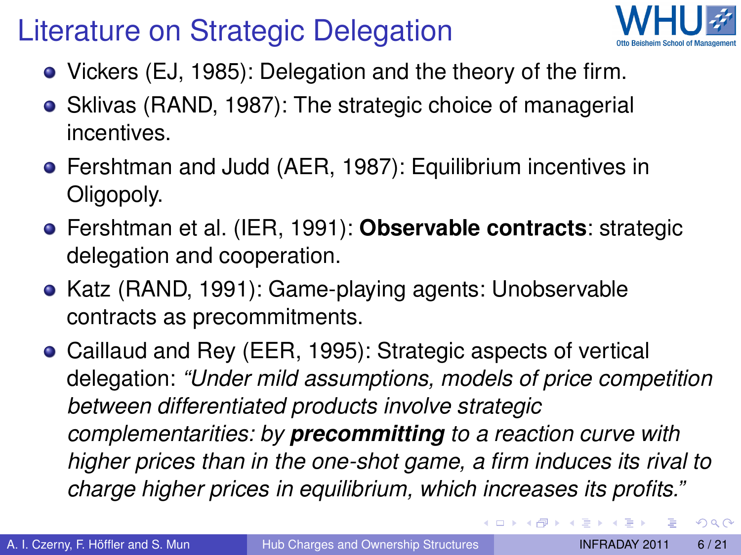## Literature on Strategic Delegation



- Vickers (EJ, 1985): Delegation and the theory of the firm.
- Sklivas (RAND, 1987): The strategic choice of managerial incentives.
- Fershtman and Judd (AER, 1987): Equilibrium incentives in Oligopoly.
- Fershtman et al. (IER, 1991): **Observable contracts**: strategic delegation and cooperation.
- Katz (RAND, 1991): Game-playing agents: Unobservable contracts as precommitments.
- Caillaud and Rey (EER, 1995): Strategic aspects of vertical delegation: *"Under mild assumptions, models of price competition between differentiated products involve strategic complementarities: by precommitting to a reaction curve with higher prices than in the one-shot game, a firm induces its rival to charge higher prices in equilibrium, which increases its profits."*

<span id="page-5-0"></span> $\Omega$ 

4 **D + 4 fl + 4**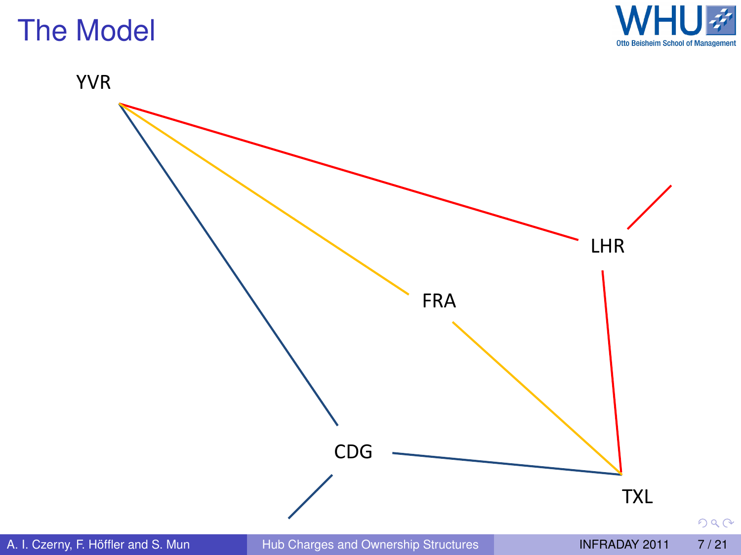

YVR



<span id="page-6-0"></span> $290$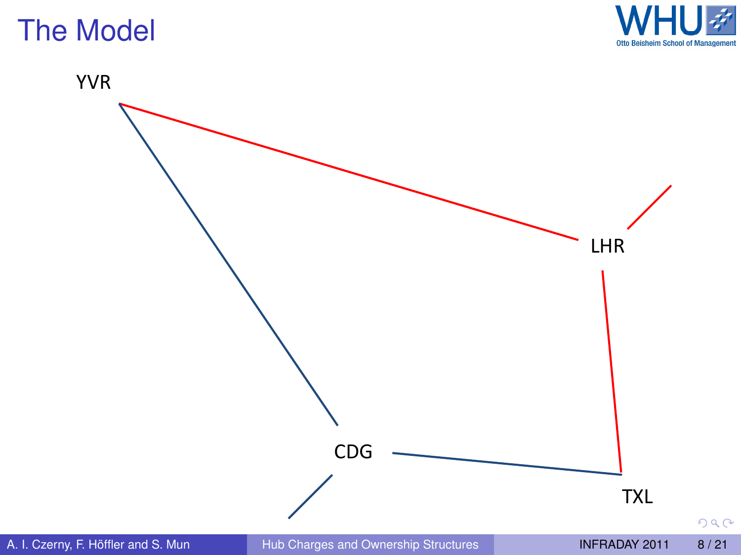

 $290$ 

YVR

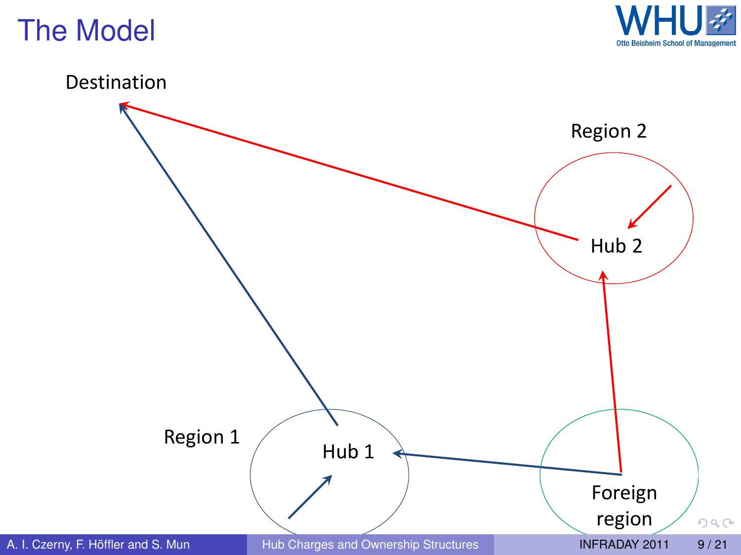



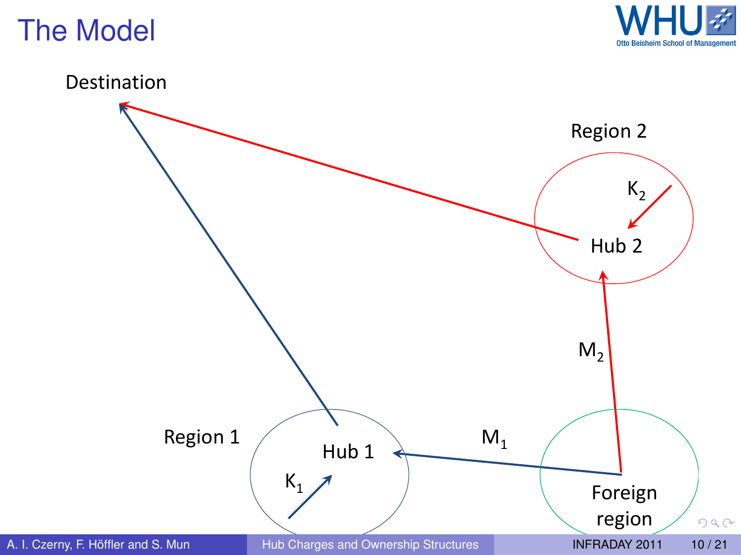



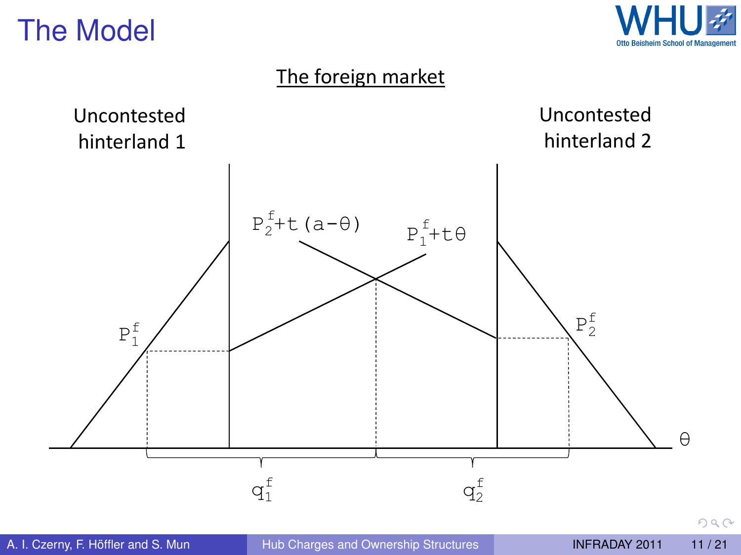

#### The foreign market

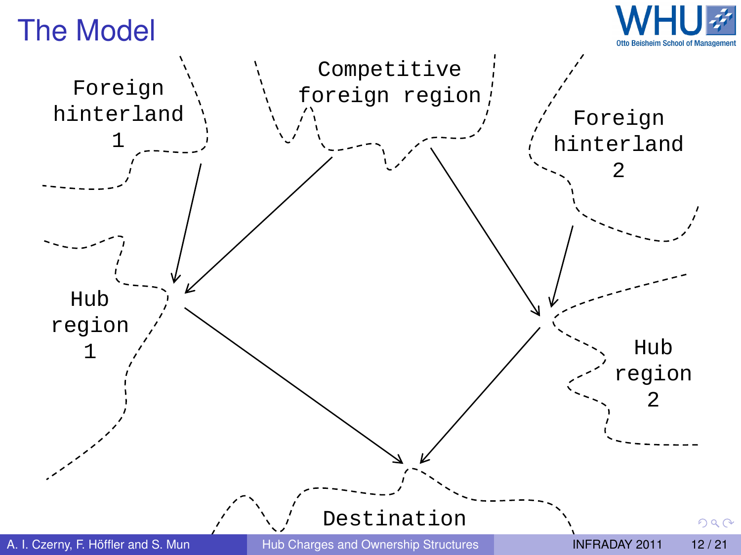

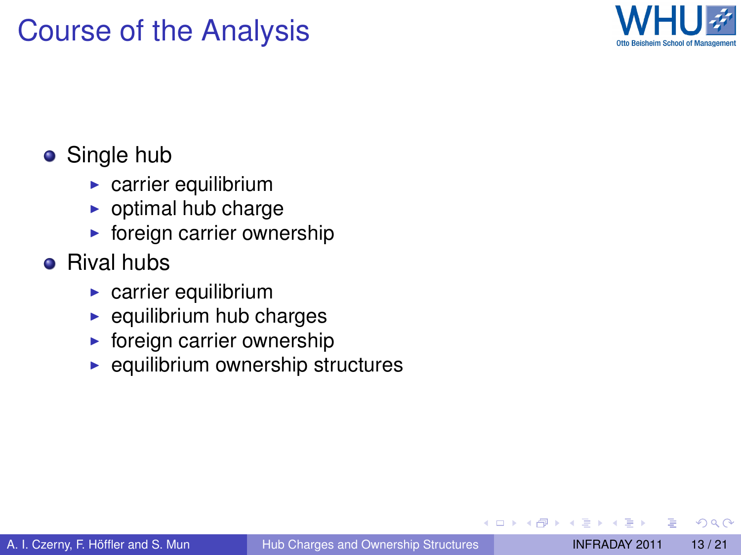#### Course of the Analysis



#### • Single hub

- $\blacktriangleright$  carrier equilibrium
- $\triangleright$  optimal hub charge
- $\blacktriangleright$  foreign carrier ownership

#### **•** Rival hubs

- $\blacktriangleright$  carrier equilibrium
- $\blacktriangleright$  equilibrium hub charges
- $\triangleright$  foreign carrier ownership
- $\blacktriangleright$  equilibrium ownership structures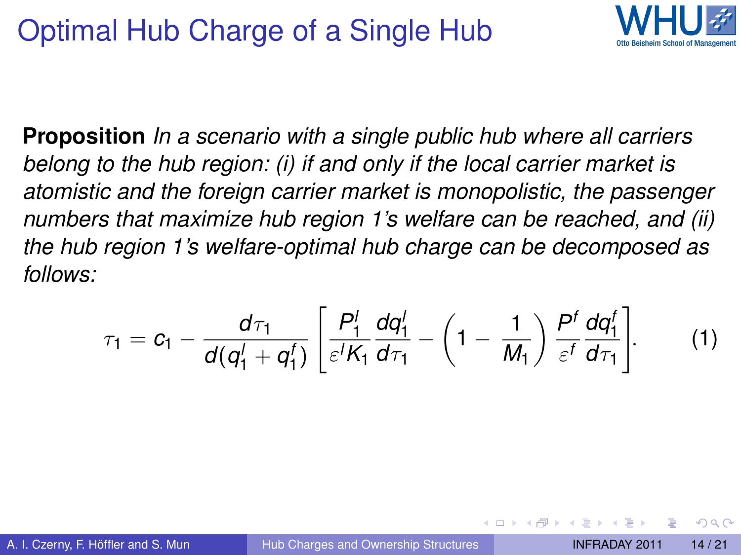### Optimal Hub Charge of a Single Hub



**Proposition** *In a scenario with a single public hub where all carriers belong to the hub region: (i) if and only if the local carrier market is atomistic and the foreign carrier market is monopolistic, the passenger numbers that maximize hub region 1's welfare can be reached, and (ii) the hub region 1's welfare-optimal hub charge can be decomposed as follows:*

$$
\tau_1 = c_1 - \frac{d\tau_1}{d(q_1^1 + q_1^f)} \left[ \frac{P_1^1}{\varepsilon^f K_1} \frac{dq_1^1}{d\tau_1} - \left(1 - \frac{1}{M_1}\right) \frac{P^f}{\varepsilon^f} \frac{dq_1^f}{d\tau_1} \right].
$$
 (1)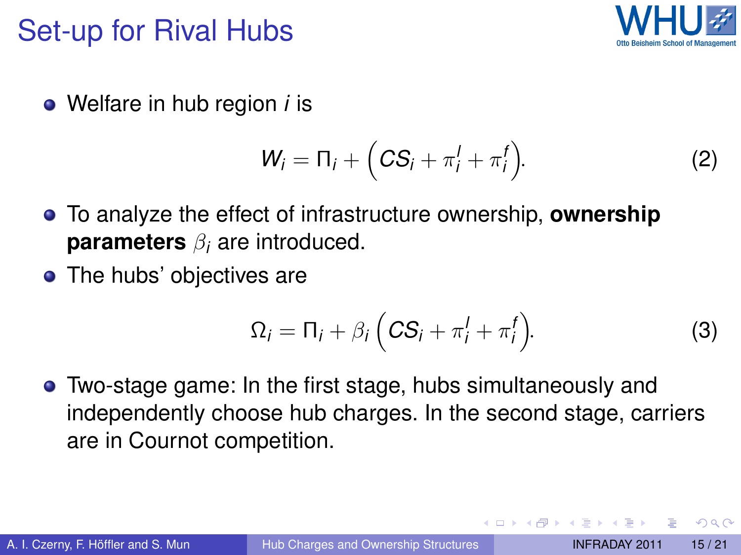#### Set-up for Rival Hubs



Welfare in hub region *i* is

$$
W_i = \Pi_i + \Big( C S_i + \pi_i^I + \pi_i^f \Big). \tag{2}
$$

- To analyze the effect of infrastructure ownership, **ownership parameters** β*<sup>i</sup>* are introduced.
- The hubs' objectives are

$$
\Omega_i = \Pi_i + \beta_i \left( C S_i + \pi_i^I + \pi_i^I \right). \tag{3}
$$

Two-stage game: In the first stage, hubs simultaneously and independently choose hub charges. In the second stage, carriers are in Cournot competition.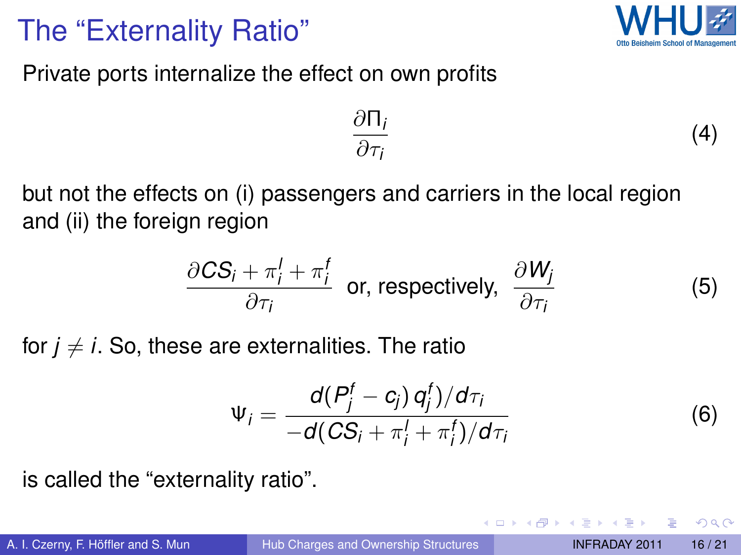#### The "Externality Ratio"



(5)

<span id="page-15-0"></span> $\Omega$ 

Private ports internalize the effect on own profits

$$
\frac{\partial \Pi_i}{\partial \tau_i} \tag{4}
$$

but not the effects on (i) passengers and carriers in the local region and (ii) the foreign region

$$
\frac{\partial CS_i + \pi_i^f + \pi_i^f}{\partial \tau_i}
$$
 or, respectively,  $\frac{\partial W_j}{\partial \tau_i}$ 

for  $j \neq i$ . So, these are externalities. The ratio

$$
\Psi_i = \frac{d(P_j^f - c_j) q_j^f)/d\tau_i}{-d(CS_i + \pi_i^f + \pi_i^f)/d\tau_i}
$$
(6)

is called the "externality ratio".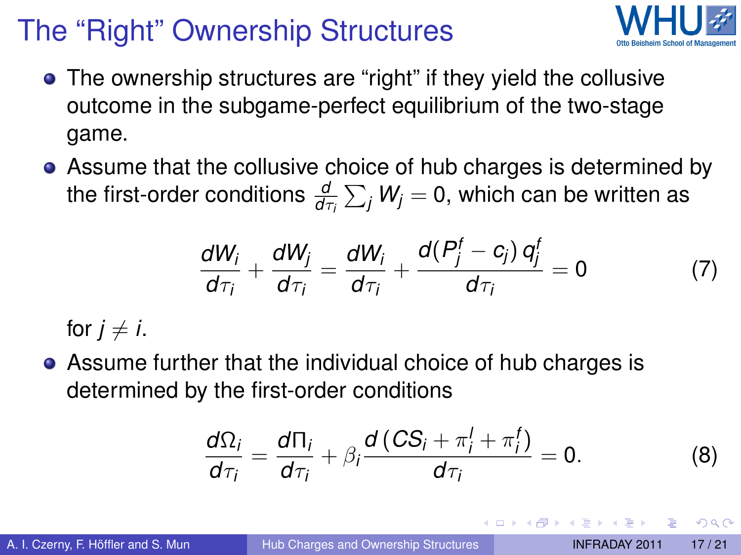# The "Right" Ownership Structures



- The ownership structures are "right" if they yield the collusive outcome in the subgame-perfect equilibrium of the two-stage game.
- Assume that the collusive choice of hub charges is determined by the first-order conditions  $\frac{d}{d\tau_i}\sum_j W_j = 0,$  which can be written as

<span id="page-16-1"></span>
$$
\frac{dW_i}{d\tau_i} + \frac{dW_j}{d\tau_i} = \frac{dW_i}{d\tau_i} + \frac{d(P_j^f - c_j) q_j^f}{d\tau_i} = 0 \tag{7}
$$

for  $j \neq i$ .

Assume further that the individual choice of hub charges is determined by the first-order conditions

<span id="page-16-2"></span><span id="page-16-0"></span>
$$
\frac{d\Omega_i}{d\tau_i} = \frac{d\Pi_i}{d\tau_i} + \beta_i \frac{d\left(CS_i + \pi_i^1 + \pi_i^1\right)}{d\tau_i} = 0.
$$
 (8)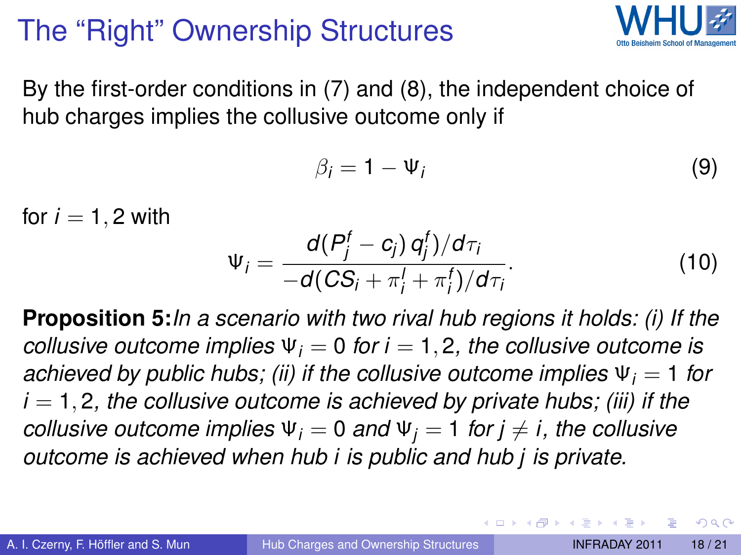# The "Right" Ownership Structures



By the first-order conditions in [\(7\)](#page-16-1) and [\(8\)](#page-16-2), the independent choice of hub charges implies the collusive outcome only if

$$
\beta_i = 1 - \Psi_i \tag{9}
$$

for  $i = 1, 2$  with

$$
\Psi_i = \frac{d(P_j^f - c_j) q_j^f)/d\tau_i}{-d(CS_i + \pi_i^f + \pi_i^f)/d\tau_i}.
$$
\n(10)

**Proposition 5:***In a scenario with two rival hub regions it holds: (i) If the collusive outcome implies*  $\Psi_i = 0$  *for i* = 1, 2, *the collusive outcome is achieved by public hubs; (ii) if the collusive outcome implies*  $\Psi_i = 1$  for  $i = 1, 2$ , the collusive outcome is achieved by private hubs; (iii) if the *collusive outcome implies*  $\Psi_i = 0$  *and*  $\Psi_i = 1$  *for*  $j \neq i$ *, the collusive outcome is achieved when hub i is public and hub j is private.*

 $\Omega$ 

 $\mathcal{A}$   $\overline{\mathcal{B}}$   $\rightarrow$   $\mathcal{A}$   $\overline{\mathcal{B}}$   $\rightarrow$   $\mathcal{A}$   $\overline{\mathcal{B}}$   $\rightarrow$   $\mathcal{B}$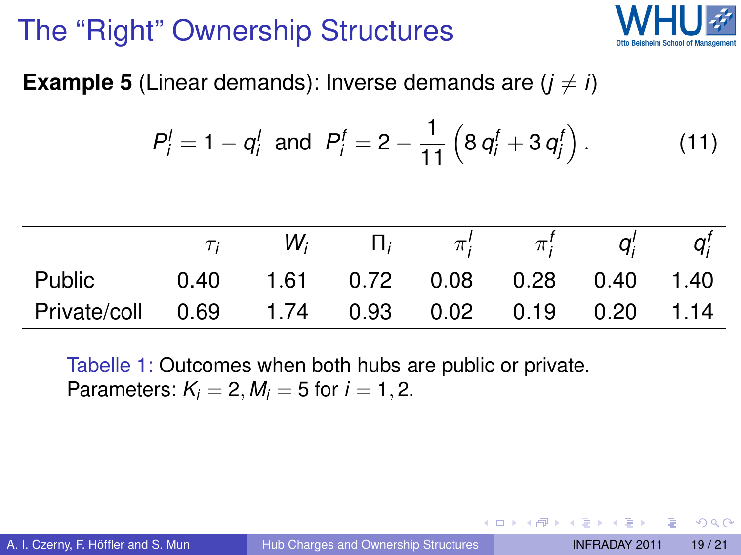# The "Right" Ownership Structures



**Example 5** (Linear demands): Inverse demands are  $(i \neq i)$ 

$$
P'_{i} = 1 - q'_{i} \text{ and } P'_{i} = 2 - \frac{1}{11} \left( 8 q'_{i} + 3 q'_{i} \right).
$$
 (11)

|              |      | W,   |      |                  |                   |
|--------------|------|------|------|------------------|-------------------|
| Public       | 0.40 | 1.61 |      | $0.72$ 0.08 0.28 | $0.40 \quad 1.40$ |
| Private/coll | 0.69 | 1.74 | 0.93 |                  | 1.14              |

Tabelle 1: Outcomes when both hubs are public or private. Parameters:  $K_i = 2$ ,  $M_i = 5$  for  $i = 1, 2$ .

 $\Omega$ 

 $\left\{ \left. \right. \left. \left. \right. \right\vert \left. \left. \right. \right\vert \left. \left. \right. \right\vert \left. \left. \right. \right. \left. \left. \right. \left. \left. \right. \right. \left. \left. \right. \left. \left. \right. \right. \left. \left. \right. \right. \left. \left. \right. \left. \left. \right. \right. \left. \left. \right. \left. \right. \left. \left. \right. \right. \left. \left. \right. \right. \left. \left. \right. \right. \left. \left. \right. \left. \left. \right. \right. \left. \left. \right. \right.$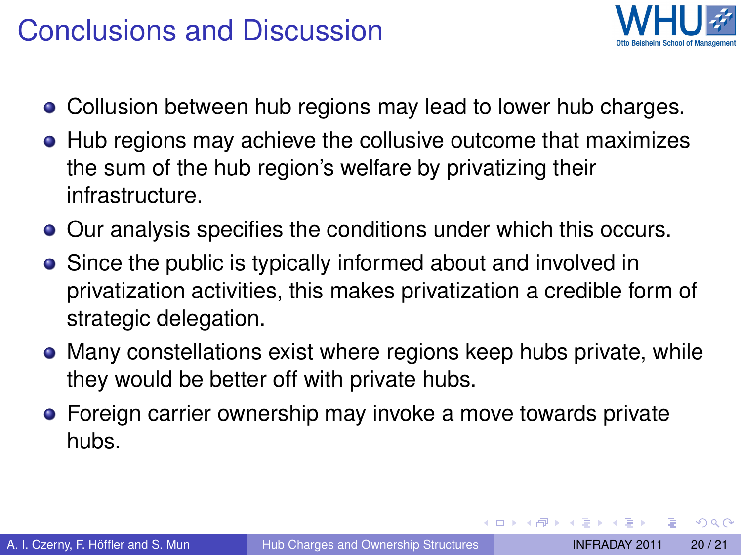#### Conclusions and Discussion



- Collusion between hub regions may lead to lower hub charges.
- Hub regions may achieve the collusive outcome that maximizes the sum of the hub region's welfare by privatizing their infrastructure.
- **•** Our analysis specifies the conditions under which this occurs.
- Since the public is typically informed about and involved in privatization activities, this makes privatization a credible form of strategic delegation.
- Many constellations exist where regions keep hubs private, while they would be better off with private hubs.
- **•** Foreign carrier ownership may invoke a move towards private hubs.

 $\Omega$ 

 $\mathcal{A} \oplus \mathcal{B} \rightarrow \mathcal{A} \oplus \mathcal{B} \rightarrow \mathcal{A} \oplus \mathcal{B}$